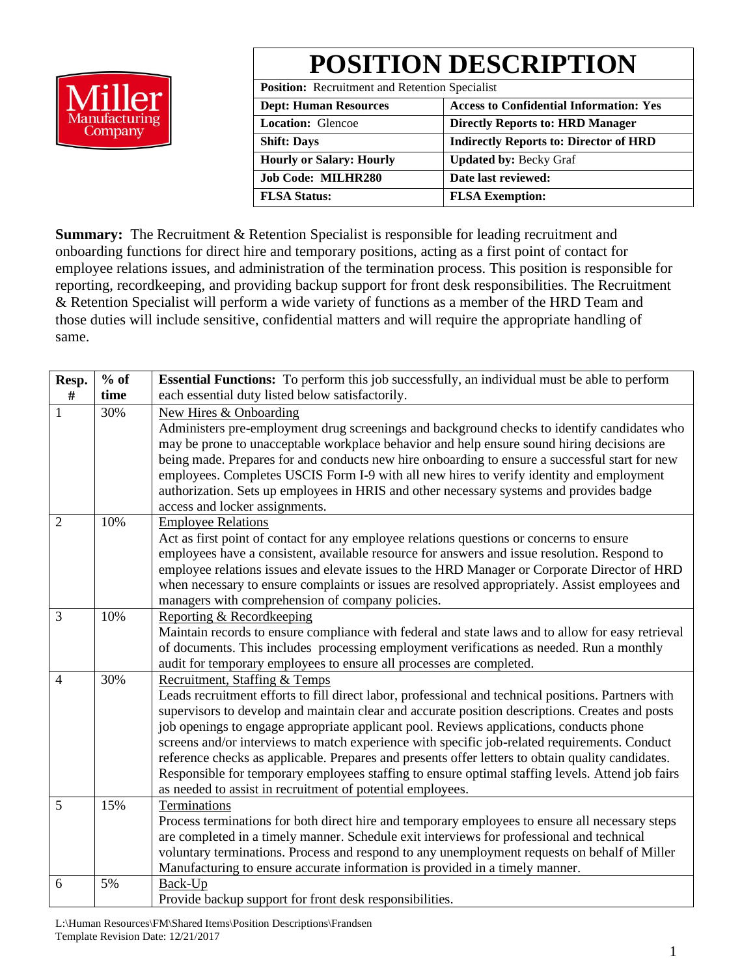

**POSITION DESCRIPTION**

**Position:** Recruitment and Retention Specialist

| <b>Dept: Human Resources</b>    | <b>Access to Confidential Information: Yes</b> |  |  |  |  |
|---------------------------------|------------------------------------------------|--|--|--|--|
| <b>Location:</b> Glencoe        | <b>Directly Reports to: HRD Manager</b>        |  |  |  |  |
| <b>Shift: Days</b>              | <b>Indirectly Reports to: Director of HRD</b>  |  |  |  |  |
| <b>Hourly or Salary: Hourly</b> | <b>Updated by: Becky Graf</b>                  |  |  |  |  |
| <b>Job Code: MILHR280</b>       | Date last reviewed:                            |  |  |  |  |
| <b>FLSA Status:</b>             | <b>FLSA Exemption:</b>                         |  |  |  |  |

**Summary:** The Recruitment & Retention Specialist is responsible for leading recruitment and onboarding functions for direct hire and temporary positions, acting as a first point of contact for employee relations issues, and administration of the termination process. This position is responsible for reporting, recordkeeping, and providing backup support for front desk responsibilities. The Recruitment & Retention Specialist will perform a wide variety of functions as a member of the HRD Team and those duties will include sensitive, confidential matters and will require the appropriate handling of same.

| Resp.          | $%$ of | <b>Essential Functions:</b> To perform this job successfully, an individual must be able to perform                                                                                 |  |  |  |  |  |  |
|----------------|--------|-------------------------------------------------------------------------------------------------------------------------------------------------------------------------------------|--|--|--|--|--|--|
| #              | time   | each essential duty listed below satisfactorily.                                                                                                                                    |  |  |  |  |  |  |
| 1              | 30%    | New Hires & Onboarding                                                                                                                                                              |  |  |  |  |  |  |
|                |        | Administers pre-employment drug screenings and background checks to identify candidates who                                                                                         |  |  |  |  |  |  |
|                |        | may be prone to unacceptable workplace behavior and help ensure sound hiring decisions are                                                                                          |  |  |  |  |  |  |
|                |        | being made. Prepares for and conducts new hire onboarding to ensure a successful start for new                                                                                      |  |  |  |  |  |  |
|                |        | employees. Completes USCIS Form I-9 with all new hires to verify identity and employment<br>authorization. Sets up employees in HRIS and other necessary systems and provides badge |  |  |  |  |  |  |
|                |        | access and locker assignments.                                                                                                                                                      |  |  |  |  |  |  |
| $\overline{2}$ | 10%    | <b>Employee Relations</b>                                                                                                                                                           |  |  |  |  |  |  |
|                |        | Act as first point of contact for any employee relations questions or concerns to ensure                                                                                            |  |  |  |  |  |  |
|                |        | employees have a consistent, available resource for answers and issue resolution. Respond to                                                                                        |  |  |  |  |  |  |
|                |        | employee relations issues and elevate issues to the HRD Manager or Corporate Director of HRD                                                                                        |  |  |  |  |  |  |
|                |        | when necessary to ensure complaints or issues are resolved appropriately. Assist employees and                                                                                      |  |  |  |  |  |  |
|                |        | managers with comprehension of company policies.                                                                                                                                    |  |  |  |  |  |  |
| 3              | 10%    | Reporting & Recordkeeping                                                                                                                                                           |  |  |  |  |  |  |
|                |        | Maintain records to ensure compliance with federal and state laws and to allow for easy retrieval                                                                                   |  |  |  |  |  |  |
|                |        | of documents. This includes processing employment verifications as needed. Run a monthly                                                                                            |  |  |  |  |  |  |
| $\overline{4}$ | 30%    | audit for temporary employees to ensure all processes are completed.<br>Recruitment, Staffing & Temps                                                                               |  |  |  |  |  |  |
|                |        | Leads recruitment efforts to fill direct labor, professional and technical positions. Partners with                                                                                 |  |  |  |  |  |  |
|                |        | supervisors to develop and maintain clear and accurate position descriptions. Creates and posts                                                                                     |  |  |  |  |  |  |
|                |        | job openings to engage appropriate applicant pool. Reviews applications, conducts phone                                                                                             |  |  |  |  |  |  |
|                |        | screens and/or interviews to match experience with specific job-related requirements. Conduct                                                                                       |  |  |  |  |  |  |
|                |        | reference checks as applicable. Prepares and presents offer letters to obtain quality candidates.                                                                                   |  |  |  |  |  |  |
|                |        | Responsible for temporary employees staffing to ensure optimal staffing levels. Attend job fairs                                                                                    |  |  |  |  |  |  |
|                |        | as needed to assist in recruitment of potential employees.                                                                                                                          |  |  |  |  |  |  |
| 5              | 15%    | Terminations                                                                                                                                                                        |  |  |  |  |  |  |
|                |        | Process terminations for both direct hire and temporary employees to ensure all necessary steps                                                                                     |  |  |  |  |  |  |
|                |        | are completed in a timely manner. Schedule exit interviews for professional and technical                                                                                           |  |  |  |  |  |  |
|                |        | voluntary terminations. Process and respond to any unemployment requests on behalf of Miller                                                                                        |  |  |  |  |  |  |
|                |        | Manufacturing to ensure accurate information is provided in a timely manner.                                                                                                        |  |  |  |  |  |  |
| 6              | 5%     | Back-Up                                                                                                                                                                             |  |  |  |  |  |  |
|                |        | Provide backup support for front desk responsibilities.                                                                                                                             |  |  |  |  |  |  |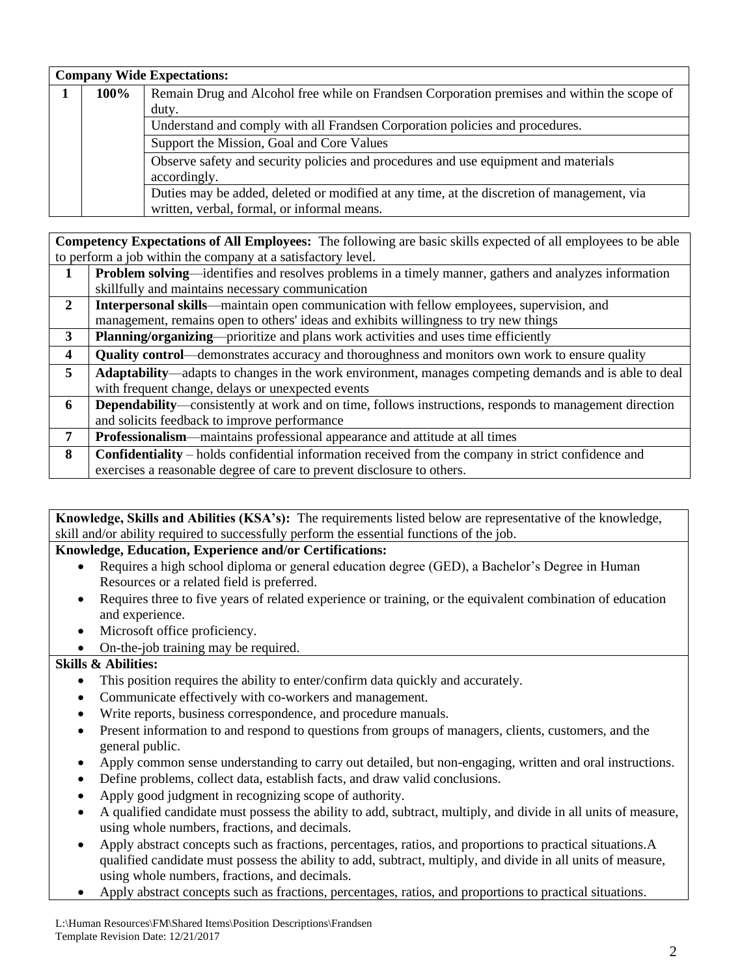| <b>Company Wide Expectations:</b> |      |                                                                                             |  |  |  |  |  |  |  |
|-----------------------------------|------|---------------------------------------------------------------------------------------------|--|--|--|--|--|--|--|
|                                   | 100% | Remain Drug and Alcohol free while on Frandsen Corporation premises and within the scope of |  |  |  |  |  |  |  |
|                                   |      | duty.                                                                                       |  |  |  |  |  |  |  |
|                                   |      | Understand and comply with all Frandsen Corporation policies and procedures.                |  |  |  |  |  |  |  |
|                                   |      | Support the Mission, Goal and Core Values                                                   |  |  |  |  |  |  |  |
|                                   |      | Observe safety and security policies and procedures and use equipment and materials         |  |  |  |  |  |  |  |
|                                   |      | accordingly.                                                                                |  |  |  |  |  |  |  |
|                                   |      | Duties may be added, deleted or modified at any time, at the discretion of management, via  |  |  |  |  |  |  |  |
|                                   |      | written, verbal, formal, or informal means.                                                 |  |  |  |  |  |  |  |

**Competency Expectations of All Employees:** The following are basic skills expected of all employees to be able to perform a job within the company at a satisfactory level.

|                         | <b>Problem solving—identifies and resolves problems in a timely manner, gathers and analyzes information</b>   |
|-------------------------|----------------------------------------------------------------------------------------------------------------|
|                         | skillfully and maintains necessary communication                                                               |
| $\overline{2}$          | <b>Interpersonal skills</b> —maintain open communication with fellow employees, supervision, and               |
|                         | management, remains open to others' ideas and exhibits willingness to try new things                           |
| 3                       | Planning/organizing—prioritize and plans work activities and uses time efficiently                             |
| $\overline{\mathbf{4}}$ | Quality control—demonstrates accuracy and thoroughness and monitors own work to ensure quality                 |
| $5^{\circ}$             | Adaptability—adapts to changes in the work environment, manages competing demands and is able to deal          |
|                         | with frequent change, delays or unexpected events                                                              |
| 6                       | <b>Dependability</b> —consistently at work and on time, follows instructions, responds to management direction |
|                         | and solicits feedback to improve performance                                                                   |
| 7                       | <b>Professionalism—maintains professional appearance and attitude at all times</b>                             |
| 8                       | <b>Confidentiality</b> – holds confidential information received from the company in strict confidence and     |
|                         | exercises a reasonable degree of care to prevent disclosure to others.                                         |

**Knowledge, Skills and Abilities (KSA's):** The requirements listed below are representative of the knowledge, skill and/or ability required to successfully perform the essential functions of the job.

# **Knowledge, Education, Experience and/or Certifications:**

- Requires a high school diploma or general education degree (GED), a Bachelor's Degree in Human Resources or a related field is preferred.
- Requires three to five years of related experience or training, or the equivalent combination of education and experience.
- Microsoft office proficiency.

## • On-the-job training may be required.

### **Skills & Abilities:**

- This position requires the ability to enter/confirm data quickly and accurately.
- Communicate effectively with co-workers and management.
- Write reports, business correspondence, and procedure manuals.
- Present information to and respond to questions from groups of managers, clients, customers, and the general public.
- Apply common sense understanding to carry out detailed, but non-engaging, written and oral instructions.
- Define problems, collect data, establish facts, and draw valid conclusions.
- Apply good judgment in recognizing scope of authority.
- A qualified candidate must possess the ability to add, subtract, multiply, and divide in all units of measure, using whole numbers, fractions, and decimals.
- Apply abstract concepts such as fractions, percentages, ratios, and proportions to practical situations.A qualified candidate must possess the ability to add, subtract, multiply, and divide in all units of measure, using whole numbers, fractions, and decimals.
- Apply abstract concepts such as fractions, percentages, ratios, and proportions to practical situations.